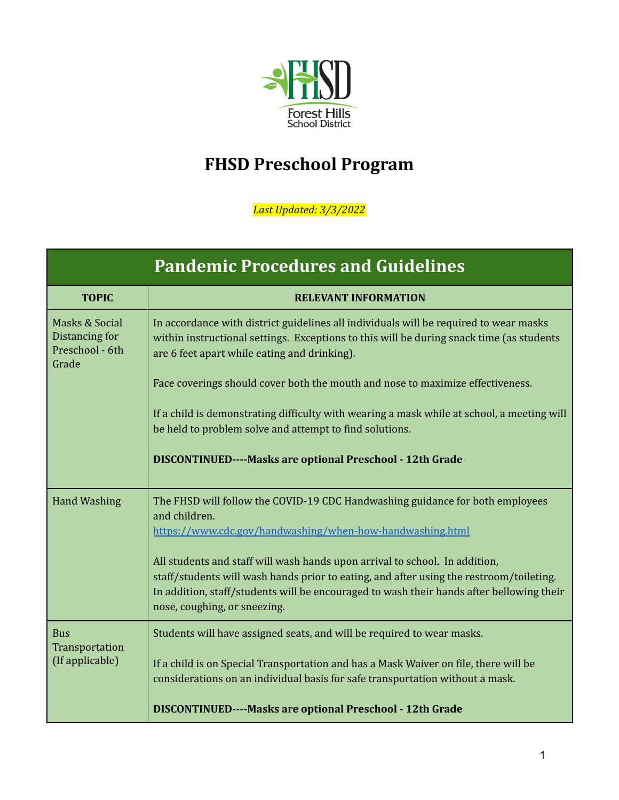

## **FHSD Preschool Program**

*Last Updated: 3/3/2022*

| <b>Pandemic Procedures and Guidelines</b>                    |                                                                                                                                                                                                                                                                                                    |  |
|--------------------------------------------------------------|----------------------------------------------------------------------------------------------------------------------------------------------------------------------------------------------------------------------------------------------------------------------------------------------------|--|
| <b>TOPIC</b>                                                 | <b>RELEVANT INFORMATION</b>                                                                                                                                                                                                                                                                        |  |
| Masks & Social<br>Distancing for<br>Preschool - 6th<br>Grade | In accordance with district guidelines all individuals will be required to wear masks<br>within instructional settings. Exceptions to this will be during snack time (as students<br>are 6 feet apart while eating and drinking).                                                                  |  |
|                                                              | Face coverings should cover both the mouth and nose to maximize effectiveness.                                                                                                                                                                                                                     |  |
|                                                              | If a child is demonstrating difficulty with wearing a mask while at school, a meeting will<br>be held to problem solve and attempt to find solutions.                                                                                                                                              |  |
|                                                              | DISCONTINUED----Masks are optional Preschool - 12th Grade                                                                                                                                                                                                                                          |  |
| <b>Hand Washing</b>                                          | The FHSD will follow the COVID-19 CDC Handwashing guidance for both employees<br>and children.<br>https://www.cdc.gov/handwashing/when-how-handwashing.html                                                                                                                                        |  |
|                                                              | All students and staff will wash hands upon arrival to school. In addition,<br>staff/students will wash hands prior to eating, and after using the restroom/toileting.<br>In addition, staff/students will be encouraged to wash their hands after bellowing their<br>nose, coughing, or sneezing. |  |
| <b>Bus</b><br>Transportation<br>(If applicable)              | Students will have assigned seats, and will be required to wear masks.                                                                                                                                                                                                                             |  |
|                                                              | If a child is on Special Transportation and has a Mask Waiver on file, there will be<br>considerations on an individual basis for safe transportation without a mask.                                                                                                                              |  |
|                                                              | <b>DISCONTINUED----Masks are optional Preschool - 12th Grade</b>                                                                                                                                                                                                                                   |  |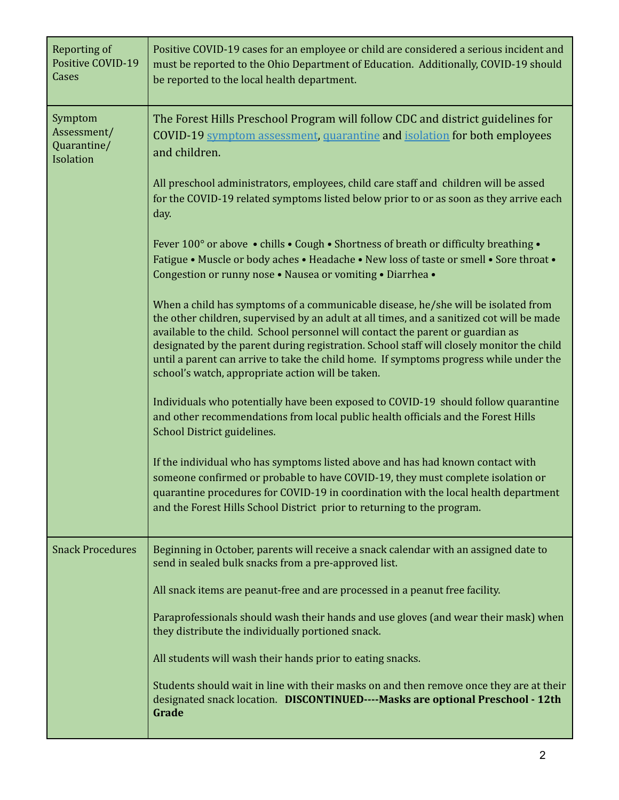| Reporting of<br>Positive COVID-19<br>Cases         | Positive COVID-19 cases for an employee or child are considered a serious incident and<br>must be reported to the Ohio Department of Education. Additionally, COVID-19 should<br>be reported to the local health department.                                                                                                                                                                                                                                                                                  |
|----------------------------------------------------|---------------------------------------------------------------------------------------------------------------------------------------------------------------------------------------------------------------------------------------------------------------------------------------------------------------------------------------------------------------------------------------------------------------------------------------------------------------------------------------------------------------|
| Symptom<br>Assessment/<br>Quarantine/<br>Isolation | The Forest Hills Preschool Program will follow CDC and district guidelines for<br>COVID-19 symptom assessment, quarantine and isolation for both employees<br>and children.                                                                                                                                                                                                                                                                                                                                   |
|                                                    | All preschool administrators, employees, child care staff and children will be assed<br>for the COVID-19 related symptoms listed below prior to or as soon as they arrive each<br>day.                                                                                                                                                                                                                                                                                                                        |
|                                                    | Fever 100 $^{\circ}$ or above • chills • Cough • Shortness of breath or difficulty breathing •<br>Fatigue • Muscle or body aches • Headache • New loss of taste or smell • Sore throat •<br>Congestion or runny nose . Nausea or vomiting . Diarrhea .                                                                                                                                                                                                                                                        |
|                                                    | When a child has symptoms of a communicable disease, he/she will be isolated from<br>the other children, supervised by an adult at all times, and a sanitized cot will be made<br>available to the child. School personnel will contact the parent or guardian as<br>designated by the parent during registration. School staff will closely monitor the child<br>until a parent can arrive to take the child home. If symptoms progress while under the<br>school's watch, appropriate action will be taken. |
|                                                    | Individuals who potentially have been exposed to COVID-19 should follow quarantine<br>and other recommendations from local public health officials and the Forest Hills<br>School District guidelines.                                                                                                                                                                                                                                                                                                        |
|                                                    | If the individual who has symptoms listed above and has had known contact with<br>someone confirmed or probable to have COVID-19, they must complete isolation or<br>quarantine procedures for COVID-19 in coordination with the local health department<br>and the Forest Hills School District prior to returning to the program.                                                                                                                                                                           |
| <b>Snack Procedures</b>                            | Beginning in October, parents will receive a snack calendar with an assigned date to<br>send in sealed bulk snacks from a pre-approved list.                                                                                                                                                                                                                                                                                                                                                                  |
|                                                    | All snack items are peanut-free and are processed in a peanut free facility.                                                                                                                                                                                                                                                                                                                                                                                                                                  |
|                                                    | Paraprofessionals should wash their hands and use gloves (and wear their mask) when<br>they distribute the individually portioned snack.                                                                                                                                                                                                                                                                                                                                                                      |
|                                                    | All students will wash their hands prior to eating snacks.                                                                                                                                                                                                                                                                                                                                                                                                                                                    |
|                                                    | Students should wait in line with their masks on and then remove once they are at their<br>designated snack location. DISCONTINUED----Masks are optional Preschool - 12th<br>Grade                                                                                                                                                                                                                                                                                                                            |